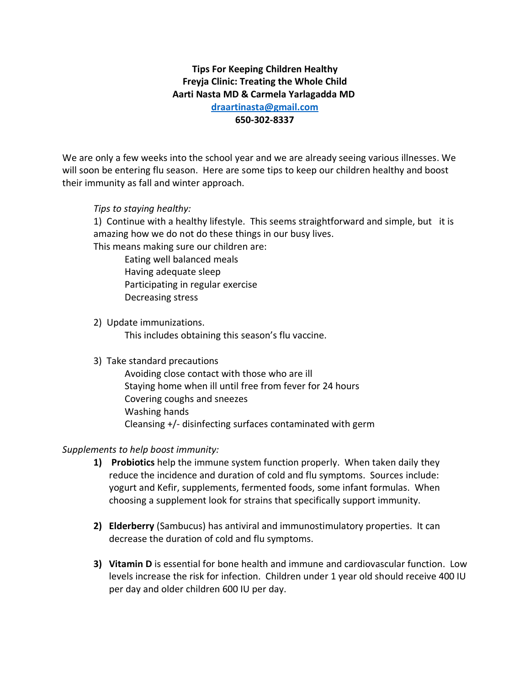# **Tips For Keeping Children Healthy Freyja Clinic: Treating the Whole Child Aarti Nasta MD & Carmela Yarlagadda MD [draartinasta@gmail.com](mailto:draartinasta@gmail.com)**

### **650-302-8337**

We are only a few weeks into the school year and we are already seeing various illnesses. We will soon be entering flu season. Here are some tips to keep our children healthy and boost their immunity as fall and winter approach.

### *Tips to staying healthy:*

1) Continue with a healthy lifestyle. This seems straightforward and simple, but it is amazing how we do not do these things in our busy lives.

This means making sure our children are:

Eating well balanced meals Having adequate sleep Participating in regular exercise Decreasing stress

2) Update immunizations.

This includes obtaining this season's flu vaccine.

### 3) Take standard precautions

Avoiding close contact with those who are ill Staying home when ill until free from fever for 24 hours Covering coughs and sneezes Washing hands Cleansing +/- disinfecting surfaces contaminated with germ

### *Supplements to help boost immunity:*

- **1) Probiotics** help the immune system function properly. When taken daily they reduce the incidence and duration of cold and flu symptoms. Sources include: yogurt and Kefir, supplements, fermented foods, some infant formulas. When choosing a supplement look for strains that specifically support immunity.
- **2) Elderberry** (Sambucus) has antiviral and immunostimulatory properties. It can decrease the duration of cold and flu symptoms.
- **3) Vitamin D** is essential for bone health and immune and cardiovascular function. Low levels increase the risk for infection. Children under 1 year old should receive 400 IU per day and older children 600 IU per day.